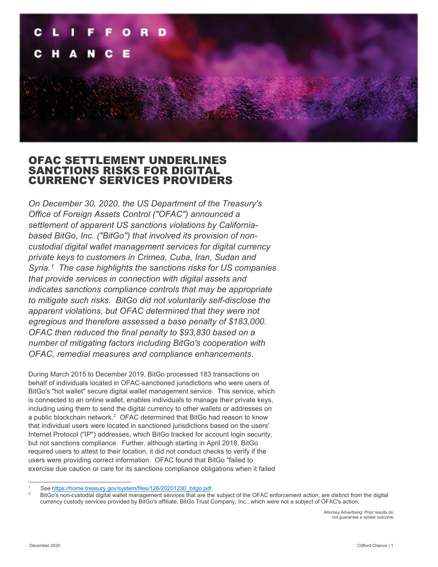

# OFAC SETTLEMENT UNDERLINES SANCTIONS RISKS FOR DIGITAL CURRENCY SERVICES PROVIDERS

*On December 30, 2020, the US Department of the Treasury's Office of Foreign Assets Control ("OFAC") announced a settlement of apparent US sanctions violations by Californiabased BitGo, Inc. ("BitGo") that involved its provision of noncustodial digital wallet management services for digital currency private keys to customers in Crimea, Cuba, Iran, Sudan and Syria.[1](#page-0-0) The case highlights the sanctions risks for US companies that provide services in connection with digital assets and indicates sanctions compliance controls that may be appropriate to mitigate such risks. BitGo did not voluntarily self-disclose the apparent violations, but OFAC determined that they were not egregious and therefore assessed a base penalty of \$183,000. OFAC then reduced the final penalty to \$93,830 based on a number of mitigating factors including BitGo's cooperation with OFAC, remedial measures and compliance enhancements*.

During March 2015 to December 2019, BitGo processed 183 transactions on behalf of individuals located in OFAC-sanctioned jurisdictions who were users of BitGo's "hot wallet" secure digital wallet management service. This service, which is connected to an online wallet, enables individuals to manage their private keys, including using them to send the digital currency to other wallets or addresses on a public blockchain network.<sup>[2](#page-0-1)</sup> OFAC determined that BitGo had reason to know that individual users were located in sanctioned jurisdictions based on the users' Internet Protocol ("IP") addresses, which BitGo tracked for account login security, but not sanctions compliance. Further, although starting in April 2018, BitGo required users to attest to their location, it did not conduct checks to verify if the users were providing correct information. OFAC found that BitGo "failed to exercise due caution or care for its sanctions compliance obligations when it failed

<span id="page-0-1"></span><span id="page-0-0"></span>

See https://home.treasury.gov/system/files/126/20201230\_bitgo.pdf.<br>BitGo's non-custodial digital wallet management services that are the subject of the OFAC enforcement action, are distinct from the digital currency custody services provided by BitGo's affiliate, BitGo Trust Company, Inc., which were not a subject of OFAC's action.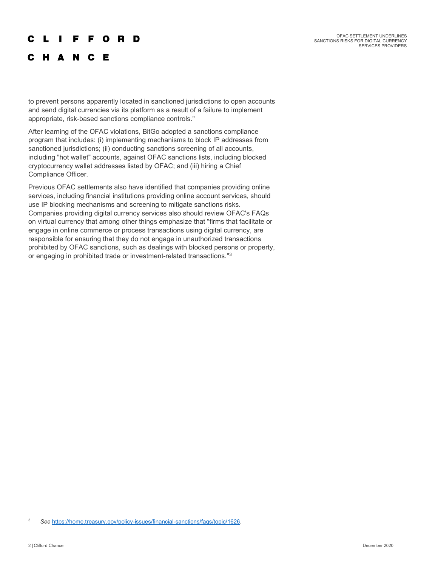#### r L F F O R D

## C H A N C E

to prevent persons apparently located in sanctioned jurisdictions to open accounts and send digital currencies via its platform as a result of a failure to implement appropriate, risk-based sanctions compliance controls."

After learning of the OFAC violations, BitGo adopted a sanctions compliance program that includes: (i) implementing mechanisms to block IP addresses from sanctioned jurisdictions; (ii) conducting sanctions screening of all accounts, including "hot wallet" accounts, against OFAC sanctions lists, including blocked cryptocurrency wallet addresses listed by OFAC; and (iii) hiring a Chief Compliance Officer.

Previous OFAC settlements also have identified that companies providing online services, including financial institutions providing online account services, should use IP blocking mechanisms and screening to mitigate sanctions risks. Companies providing digital currency services also should review OFAC's FAQs on virtual currency that among other things emphasize that "firms that facilitate or engage in online commerce or process transactions using digital currency, are responsible for ensuring that they do not engage in unauthorized transactions prohibited by OFAC sanctions, such as dealings with blocked persons or property, or engaging in prohibited trade or investment-related transactions."[3](#page-1-0)

<span id="page-1-0"></span><sup>3</sup> *See* [https://home.treasury.gov/policy-issues/financial-sanctions/faqs/topic/1626.](https://home.treasury.gov/policy-issues/financial-sanctions/faqs/topic/1626)